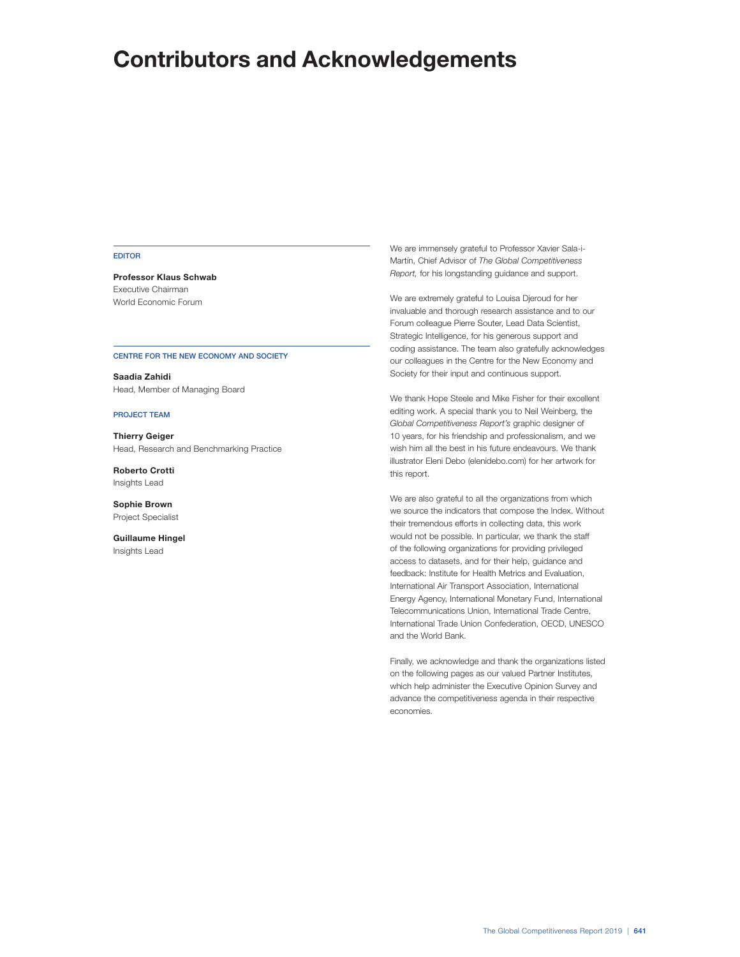#### EDITOR

**Professor Klaus Schwab** Executive Chairman World Economic Forum

#### CENTRE FOR THE NEW ECONOMY AND SOCIETY

**Saadia Zahidi** Head, Member of Managing Board

## PROJECT TEAM

**Thierry Geiger** Head, Research and Benchmarking Practice

**Roberto Crotti** Insights Lead

**Sophie Brown** Project Specialist

**Guillaume Hingel** Insights Lead

We are immensely grateful to Professor Xavier Sala-i-Martín, Chief Advisor of The Global Competitiveness Report, for his longstanding guidance and support.

We are extremely grateful to Louisa Djeroud for her invaluable and thorough research assistance and to our Forum colleague Pierre Souter, Lead Data Scientist, Strategic Intelligence, for his generous support and coding assistance. The team also gratefully acknowledges our colleagues in the Centre for the New Economy and Society for their input and continuous support.

We thank Hope Steele and Mike Fisher for their excellent editing work. A special thank you to Neil Weinberg, the Global Competitiveness Report's graphic designer of 10 years, for his friendship and professionalism, and we wish him all the best in his future endeavours. We thank illustrator Eleni Debo (elenidebo.com) for her artwork for this report.

We are also grateful to all the organizations from which we source the indicators that compose the Index. Without their tremendous efforts in collecting data, this work would not be possible. In particular, we thank the staff of the following organizations for providing privileged access to datasets, and for their help, guidance and feedback: Institute for Health Metrics and Evaluation, International Air Transport Association, International Energy Agency, International Monetary Fund, International Telecommunications Union, International Trade Centre, International Trade Union Confederation, OECD, UNESCO and the World Bank.

Finally, we acknowledge and thank the organizations listed on the following pages as our valued Partner Institutes, which help administer the Executive Opinion Survey and advance the competitiveness agenda in their respective economies.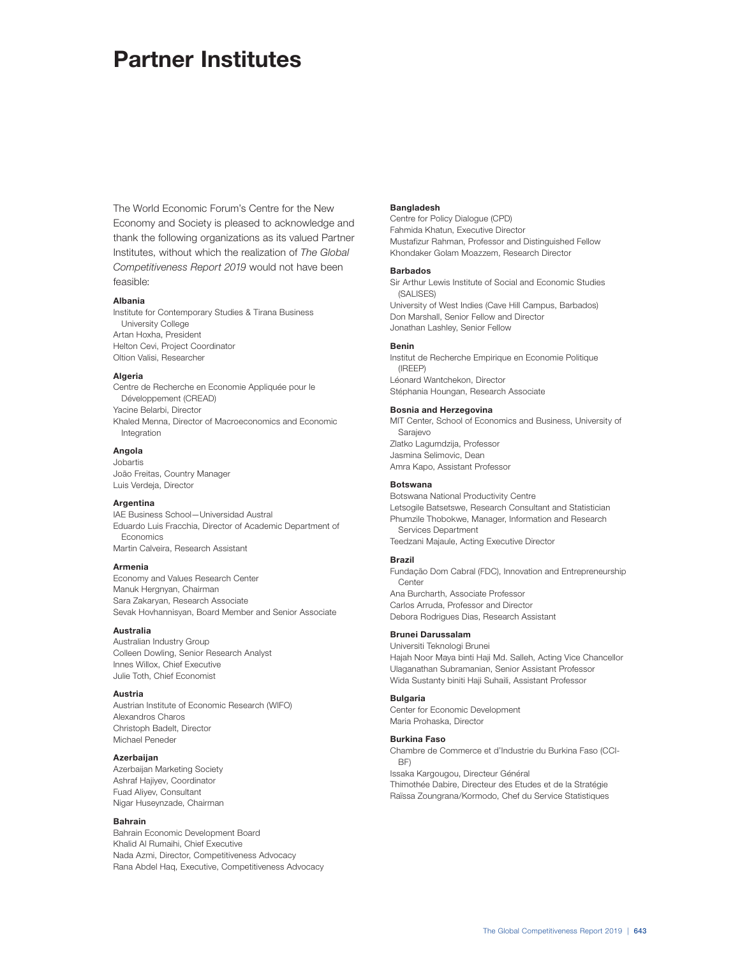# **Partner Institutes**

The World Economic Forum's Centre for the New Economy and Society is pleased to acknowledge and thank the following organizations as its valued Partner Institutes, without which the realization of The Global Competitiveness Report 2019 would not have been feasible:

# **Albania**

Institute for Contemporary Studies & Tirana Business University College Artan Hoxha, President Helton Cevi, Project Coordinator Oltion Valisi, Researcher

# **Algeria**

Centre de Recherche en Economie Appliquée pour le Développement (CREAD) Yacine Belarbi, Director Khaled Menna, Director of Macroeconomics and Economic Integration

# **Angola**

Jobartis João Freitas, Country Manager Luis Verdeja, Director

# **Argentina**

IAE Business School—Universidad Austral Eduardo Luis Fracchia, Director of Academic Department of Economics Martin Calveira, Research Assistant

#### **Armenia**

Economy and Values Research Center Manuk Hergnyan, Chairman Sara Zakaryan, Research Associate Sevak Hovhannisyan, Board Member and Senior Associate

# **Australia**

Australian Industry Group Colleen Dowling, Senior Research Analyst Innes Willox, Chief Executive Julie Toth, Chief Economist

#### **Austria**

Austrian Institute of Economic Research (WIFO) Alexandros Charos Christoph Badelt, Director Michael Peneder

# **Azerbaijan**

Azerbaijan Marketing Society Ashraf Hajiyev, Coordinator Fuad Aliyev, Consultant Nigar Huseynzade, Chairman

# **Bahrain**

Bahrain Economic Development Board Khalid Al Rumaihi, Chief Executive Nada Azmi, Director, Competitiveness Advocacy Rana Abdel Haq, Executive, Competitiveness Advocacy

# **Bangladesh**

Centre for Policy Dialogue (CPD) Fahmida Khatun, Executive Director Mustafizur Rahman, Professor and Distinguished Fellow Khondaker Golam Moazzem, Research Director

## **Barbados**

Sir Arthur Lewis Institute of Social and Economic Studies (SALISES) University of West Indies (Cave Hill Campus, Barbados) Don Marshall, Senior Fellow and Director Jonathan Lashley, Senior Fellow

#### **Benin**

Institut de Recherche Empirique en Economie Politique (IREEP) Léonard Wantchekon, Director Stéphania Houngan, Research Associate

# **Bosnia and Herzegovina**

MIT Center, School of Economics and Business, University of Sarajevo Zlatko Lagumdzija, Professor Jasmina Selimovic, Dean Amra Kapo, Assistant Professor

# **Botswana**

Botswana National Productivity Centre Letsogile Batsetswe, Research Consultant and Statistician Phumzile Thobokwe, Manager, Information and Research Services Department Teedzani Majaule, Acting Executive Director

## **Brazil**

Fundação Dom Cabral (FDC), Innovation and Entrepreneurship **Center** Ana Burcharth, Associate Professor Carlos Arruda, Professor and Director Debora Rodrigues Dias, Research Assistant

#### **Brunei Darussalam**

Universiti Teknologi Brunei Hajah Noor Maya binti Haji Md. Salleh, Acting Vice Chancellor Ulaganathan Subramanian, Senior Assistant Professor Wida Sustanty biniti Haji Suhaili, Assistant Professor

#### **Bulgaria**

Center for Economic Development Maria Prohaska, Director

#### **Burkina Faso**

Chambre de Commerce et d'Industrie du Burkina Faso (CCI-BF) Issaka Kargougou, Directeur Général Thimothée Dabire, Directeur des Etudes et de la Stratégie Raïssa Zoungrana/Kormodo, Chef du Service Statistiques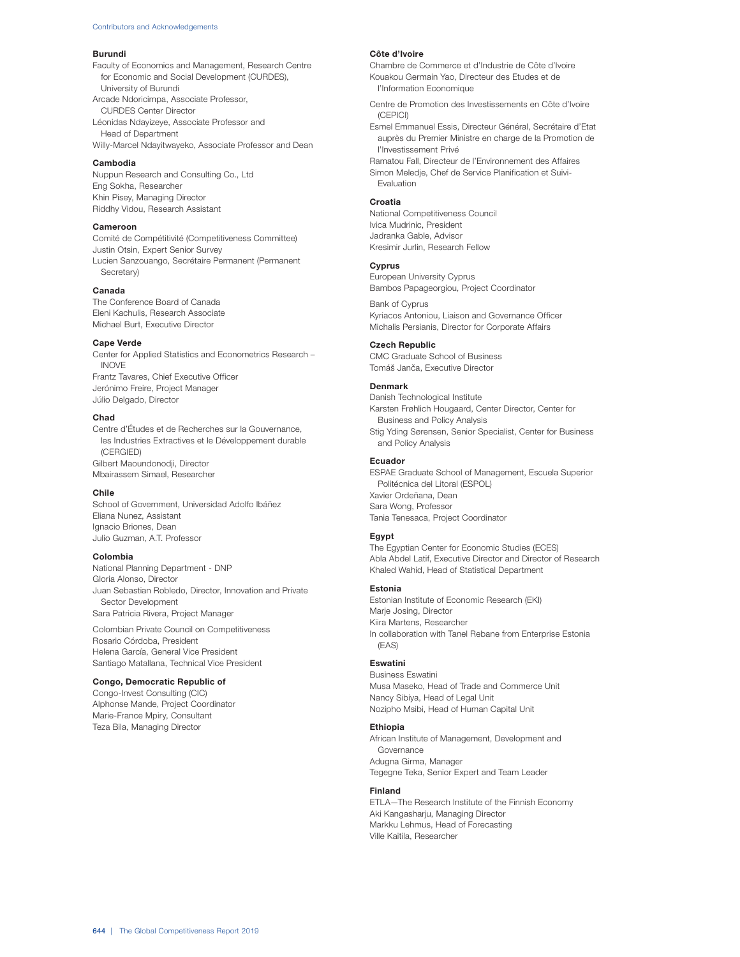#### **Burundi**

Faculty of Economics and Management, Research Centre for Economic and Social Development (CURDES), University of Burundi Arcade Ndoricimpa, Associate Professor,

CURDES Center Director Léonidas Ndayizeye, Associate Professor and Head of Department

Willy-Marcel Ndayitwayeko, Associate Professor and Dean

## **Cambodia**

Nuppun Research and Consulting Co., Ltd Eng Sokha, Researcher Khin Pisey, Managing Director Riddhy Vidou, Research Assistant

## **Cameroon**

Comité de Compétitivité (Competitiveness Committee) Justin Otsin, Expert Senior Survey Lucien Sanzouango, Secrétaire Permanent (Permanent Secretary)

# **Canada**

The Conference Board of Canada Eleni Kachulis, Research Associate Michael Burt, Executive Director

#### **Cape Verde**

Center for Applied Statistics and Econometrics Research – INOVE Frantz Tavares, Chief Executive Officer Jerónimo Freire, Project Manager Júlio Delgado, Director

# **Chad**

Centre d'Études et de Recherches sur la Gouvernance, les Industries Extractives et le Développement durable (CERGIED) Gilbert Maoundonodii, Director Mbairassem Simael, Researcher

# **Chile**

School of Government, Universidad Adolfo Ibáñez Eliana Nunez, Assistant Ignacio Briones, Dean Julio Guzman, A.T. Professor

# **Colombia**

National Planning Department - DNP Gloria Alonso, Director Juan Sebastian Robledo, Director, Innovation and Private Sector Development Sara Patricia Rivera, Project Manager

Colombian Private Council on Competitiveness Rosario Córdoba, President Helena García, General Vice President Santiago Matallana, Technical Vice President

#### **Congo, Democratic Republic of**

Congo-Invest Consulting (CIC) Alphonse Mande, Project Coordinator Marie-France Mpiry, Consultant Teza Bila, Managing Director

## **Côte d'Ivoire**

Chambre de Commerce et d'Industrie de Côte d'Ivoire Kouakou Germain Yao, Directeur des Etudes et de l'Information Economique

Centre de Promotion des Investissements en Côte d'Ivoire (CEPICI)

Esmel Emmanuel Essis, Directeur Général, Secrétaire d'Etat auprès du Premier Ministre en charge de la Promotion de l'Investissement Privé

Ramatou Fall, Directeur de l'Environnement des Affaires Simon Meledje, Chef de Service Planification et Suivi-Evaluation

#### **Croatia**

National Competitiveness Council Ivica Mudrinic, President Jadranka Gable, Advisor Kresimir Jurlin, Research Fellow

# **Cyprus**

European University Cyprus Bambos Papageorgiou, Project Coordinator

Bank of Cyprus Kyriacos Antoniou, Liaison and Governance Officer Michalis Persianis, Director for Corporate Affairs

# **Czech Republic**

CMC Graduate School of Business Tomáš Janča, Executive Director

# **Denmark**

Danish Technological Institute Karsten Frøhlich Hougaard, Center Director, Center for Business and Policy Analysis Stig Yding Sørensen, Senior Specialist, Center for Business and Policy Analysis

#### **Ecuador**

ESPAE Graduate School of Management, Escuela Superior Politécnica del Litoral (ESPOL) Xavier Ordeñana, Dean Sara Wong, Professor Tania Tenesaca, Project Coordinator

## **Egypt**

The Egyptian Center for Economic Studies (ECES) Abla Abdel Latif, Executive Director and Director of Research Khaled Wahid, Head of Statistical Department

## **Estonia**

Estonian Institute of Economic Research (EKI) Marje Josing, Director Kiira Martens, Researcher In collaboration with Tanel Rebane from Enterprise Estonia (EAS)

## **Eswatini**

Business Eswatini Musa Maseko, Head of Trade and Commerce Unit Nancy Sibiya, Head of Legal Unit Nozipho Msibi, Head of Human Capital Unit

## **Ethiopia**

African Institute of Management, Development and Governance Adugna Girma, Manager Tegegne Teka, Senior Expert and Team Leader

#### **Finland**

ETLA—The Research Institute of the Finnish Economy Aki Kangasharju, Managing Director Markku Lehmus, Head of Forecasting Ville Kaitila, Researcher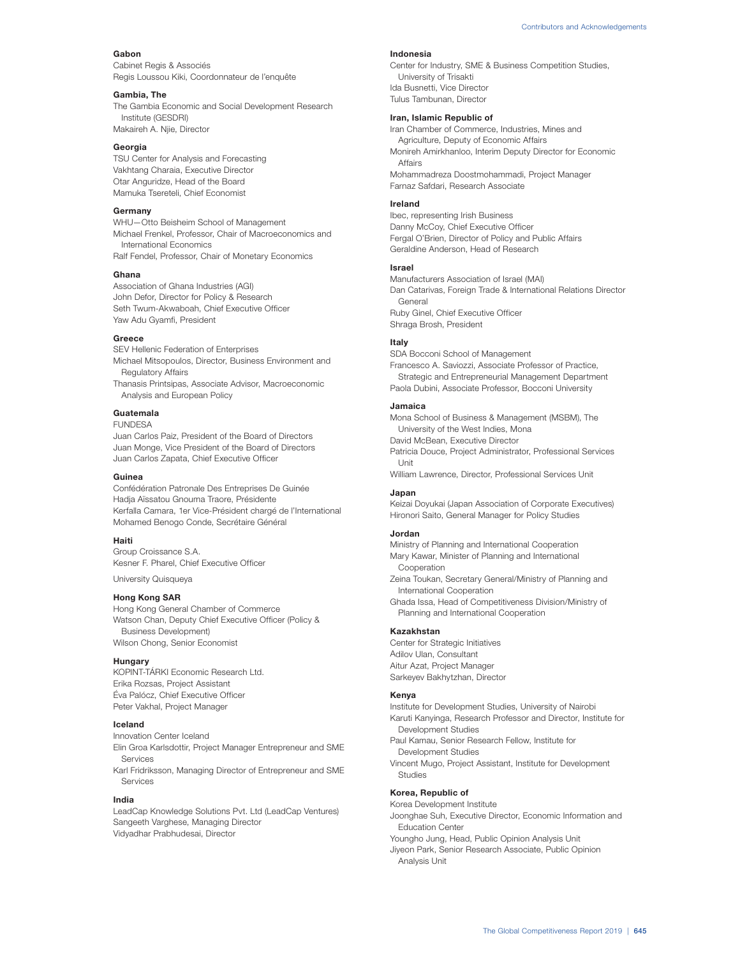## **Gabon**

Cabinet Regis & Associés Regis Loussou Kiki, Coordonnateur de l'enquête

#### **Gambia, The**

The Gambia Economic and Social Development Research Institute (GESDRI) Makaireh A. Njie, Director

#### **Georgia**

TSU Center for Analysis and Forecasting Vakhtang Charaia, Executive Director Otar Anguridze, Head of the Board Mamuka Tsereteli, Chief Economist

# **Germany**

WHU—Otto Beisheim School of Management Michael Frenkel, Professor, Chair of Macroeconomics and International Economics Ralf Fendel, Professor, Chair of Monetary Economics

#### **Ghana**

Association of Ghana Industries (AGI) John Defor, Director for Policy & Research Seth Twum-Akwaboah, Chief Executive Officer Yaw Adu Gyamfi, President

# **Greece**

SEV Hellenic Federation of Enterprises Michael Mitsopoulos, Director, Business Environment and

Regulatory Affairs

Thanasis Printsipas, Associate Advisor, Macroeconomic Analysis and European Policy

# **Guatemala**

FUNDESA

Juan Carlos Paiz, President of the Board of Directors Juan Monge, Vice President of the Board of Directors Juan Carlos Zapata, Chief Executive Officer

# **Guinea**

Confédération Patronale Des Entreprises De Guinée Hadja Aïssatou Gnouma Traore, Présidente Kerfalla Camara, 1er Vice-Président chargé de l'International Mohamed Benogo Conde, Secrétaire Général

## **Haiti**

Group Croissance S.A. Kesner F. Pharel, Chief Executive Officer

University Quisqueya

# **Hong Kong SAR**

Hong Kong General Chamber of Commerce Watson Chan, Deputy Chief Executive Officer (Policy & Business Development) Wilson Chong, Senior Economist

# **Hungary**

KOPINT-TÁRKI Economic Research Ltd. Erika Rozsas, Project Assistant Éva Palócz, Chief Executive Officer Peter Vakhal, Project Manager

# **Iceland**

Innovation Center Iceland Elin Groa Karlsdottir, Project Manager Entrepreneur and SME Services

Karl Fridriksson, Managing Director of Entrepreneur and SME Services

#### **India**

LeadCap Knowledge Solutions Pvt. Ltd (LeadCap Ventures) Sangeeth Varghese, Managing Director Vidyadhar Prabhudesai, Director

## **Indonesia**

Center for Industry, SME & Business Competition Studies, University of Trisakti Ida Busnetti, Vice Director Tulus Tambunan, Director

# **Iran, Islamic Republic of**

Iran Chamber of Commerce, Industries, Mines and Agriculture, Deputy of Economic Affairs Monireh Amirkhanloo, Interim Deputy Director for Economic Affairs Mohammadreza Doostmohammadi, Project Manager Farnaz Safdari, Research Associate

## **Ireland**

Ibec, representing Irish Business Danny McCoy, Chief Executive Officer Fergal O'Brien, Director of Policy and Public Affairs Geraldine Anderson, Head of Research

## **Israel**

Manufacturers Association of Israel (MAI) Dan Catarivas, Foreign Trade & International Relations Director General Ruby Ginel, Chief Executive Officer Shraga Brosh, President

## **Italy**

SDA Bocconi School of Management Francesco A. Saviozzi, Associate Professor of Practice, Strategic and Entrepreneurial Management Department Paola Dubini, Associate Professor, Bocconi University

## **Jamaica**

Mona School of Business & Management (MSBM), The University of the West Indies, Mona David McBean, Executive Director Patricia Douce, Project Administrator, Professional Services Unit

William Lawrence, Director, Professional Services Unit

#### **Japan**

Keizai Doyukai (Japan Association of Corporate Executives) Hironori Saito, General Manager for Policy Studies

## **Jordan**

Ministry of Planning and International Cooperation Mary Kawar, Minister of Planning and International Cooperation Zeina Toukan, Secretary General/Ministry of Planning and

International Cooperation Ghada Issa, Head of Competitiveness Division/Ministry of

Planning and International Cooperation

# **Kazakhstan**

Center for Strategic Initiatives Adilov Ulan, Consultant Aitur Azat, Project Manager Sarkeyev Bakhytzhan, Director

# **Kenya**

Institute for Development Studies, University of Nairobi Karuti Kanyinga, Research Professor and Director, Institute for Development Studies Paul Kamau, Senior Research Fellow, Institute for Development Studies

Vincent Mugo, Project Assistant, Institute for Development Studies

# **Korea, Republic of**

Korea Development Institute

Joonghae Suh, Executive Director, Economic Information and Education Center

Youngho Jung, Head, Public Opinion Analysis Unit Jiyeon Park, Senior Research Associate, Public Opinion

Analysis Unit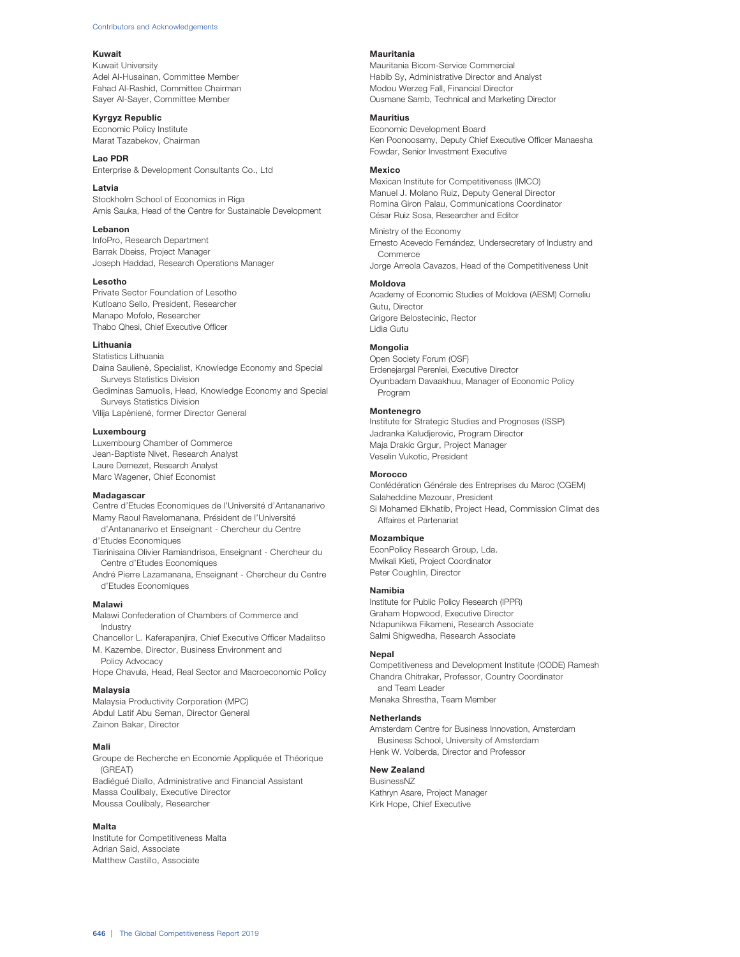#### **Kuwait**

Kuwait University Adel Al-Husainan, Committee Member Fahad Al-Rashid, Committee Chairman Sayer Al-Sayer, Committee Member

#### **Kyrgyz Republic** Economic Policy Institute

Marat Tazabekov, Chairman

# **Lao PDR**

Enterprise & Development Consultants Co., Ltd

# **Latvia**

Stockholm School of Economics in Riga Arnis Sauka, Head of the Centre for Sustainable Development

# **Lebanon**

InfoPro, Research Department Barrak Dbeiss, Project Manager Joseph Haddad, Research Operations Manager

## **Lesotho**

Private Sector Foundation of Lesotho Kutloano Sello, President, Researcher Manapo Mofolo, Researcher Thabo Ohesi, Chief Executive Officer

# **Lithuania**

Statistics Lithuania Daina Saulienė, Specialist, Knowledge Economy and Special Surveys Statistics Division Gediminas Samuolis, Head, Knowledge Economy and Special Surveys Statistics Division Vilija Lapėnienė, former Director General

# **Luxembourg**

Luxembourg Chamber of Commerce Jean-Baptiste Nivet, Research Analyst Laure Demezet, Research Analyst Marc Wagener, Chief Economist

#### **Madagascar**

Centre d'Etudes Economiques de l'Université d'Antananarivo Mamy Raoul Ravelomanana, Président de l'Université d'Antananarivo et Enseignant - Chercheur du Centre

d'Etudes Economiques

Tiarinisaina Olivier Ramiandrisoa, Enseignant - Chercheur du Centre d'Etudes Economiques

André Pierre Lazamanana, Enseignant - Chercheur du Centre d'Etudes Economiques

# **Malawi**

Malawi Confederation of Chambers of Commerce and Industry

Chancellor L. Kaferapanjira, Chief Executive Officer Madalitso M. Kazembe, Director, Business Environment and Policy Advocacy

Hope Chavula, Head, Real Sector and Macroeconomic Policy

# **Malaysia**

Malaysia Productivity Corporation (MPC) Abdul Latif Abu Seman, Director General Zainon Bakar, Director

## Mali

Groupe de Recherche en Economie Appliquée et Théorique (GREAT) Badiégué Diallo, Administrative and Financial Assistant Massa Coulibaly, Executive Director Moussa Coulibaly, Researcher

# Malta

Institute for Competitiveness Malta Adrian Said, Associate Matthew Castillo, Associate

# **Mauritania**

Mauritania Bicom-Service Commercial Habib Sy, Administrative Director and Analyst Modou Werzeg Fall, Financial Director Ousmane Samb, Technical and Marketing Director

# **Mauritius**

Economic Development Board Ken Poonoosamy, Deputy Chief Executive Officer Manaesha Fowdar, Senior Investment Executive

## **Mexico**

Mexican Institute for Competitiveness (IMCO) Manuel J. Molano Ruiz, Deputy General Director Romina Giron Palau, Communications Coordinator César Ruiz Sosa, Researcher and Editor

Ministry of the Economy Ernesto Acevedo Fernández, Undersecretary of Industry and Commerce Jorge Arreola Cavazos, Head of the Competitiveness Unit

# **Moldova**

Academy of Economic Studies of Moldova (AESM) Corneliu Gutu, Director Grigore Belostecinic, Rector Lidia Gutu

#### **Mongolia**

Open Society Forum (OSF) Erdenejargal Perenlei, Executive Director Oyunbadam Davaakhuu, Manager of Economic Policy Program

# **Montenegro**

Institute for Strategic Studies and Prognoses (ISSP) Jadranka Kaludjerovic, Program Director Maja Drakic Grgur, Project Manager Veselin Vukotic, President

#### **Morocco**

Confédération Générale des Entreprises du Maroc (CGEM) Salaheddine Mezouar, President Si Mohamed Elkhatib, Project Head, Commission Climat des Affaires et Partenariat

# **Mozambique**

EconPolicy Research Group, Lda. Mwikali Kieti, Project Coordinator Peter Coughlin, Director

# **Namibia**

Institute for Public Policy Research (IPPR) Graham Hopwood, Executive Director Ndapunikwa Fikameni, Research Associate Salmi Shigwedha, Research Associate

## **Nepal**

Competitiveness and Development Institute (CODE) Ramesh Chandra Chitrakar, Professor, Country Coordinator and Team Leader Menaka Shrestha, Team Member

# **Netherlands**

Amsterdam Centre for Business Innovation, Amsterdam Business School, University of Amsterdam Henk W. Volberda, Director and Professor

# **New Zealand**

BusinessNZ Kathryn Asare, Project Manager Kirk Hope, Chief Executive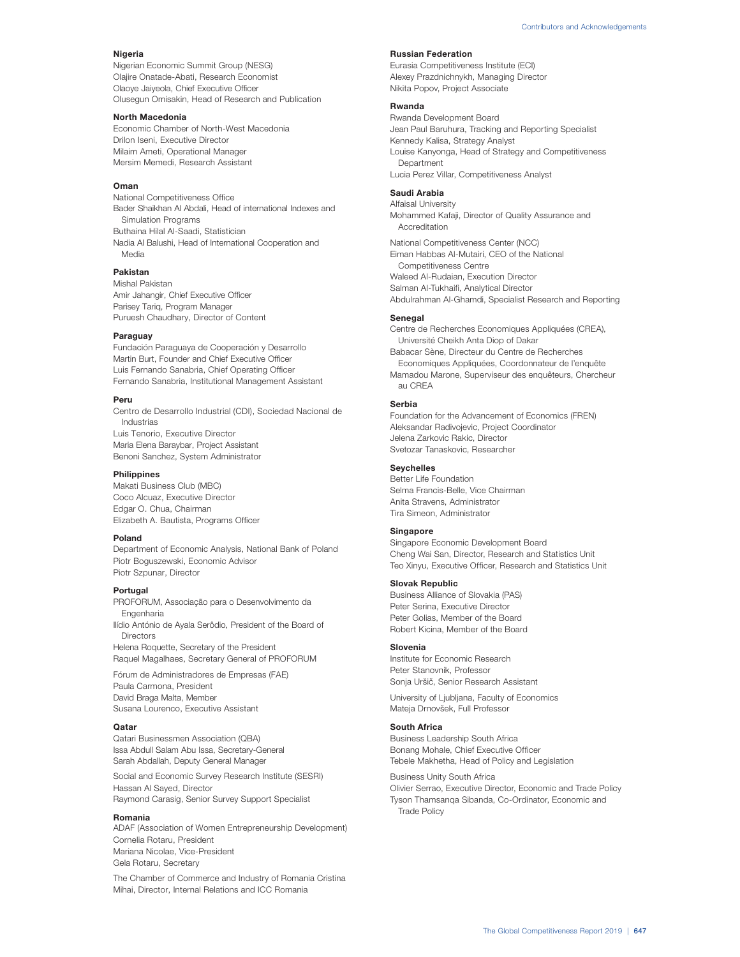#### **Nigeria**

Nigerian Economic Summit Group (NESG) Olajire Onatade-Abati, Research Economist Olaoye Jaiyeola, Chief Executive Officer Olusegun Omisakin, Head of Research and Publication

# North Macedonia

Economic Chamber of North-West Macedonia Drilon Iseni, Executive Director Milaim Ameti, Operational Manager Mersim Memedi, Research Assistant

## **Oman**

National Competitiveness Office Bader Shaikhan Al Abdali, Head of international Indexes and Simulation Programs Buthaina Hilal Al-Saadi, Statistician Nadia Al Balushi, Head of International Cooperation and Media

# **Pakistan**

Mishal Pakistan Amir Jahangir, Chief Executive Officer Parisey Tariq, Program Manager Puruesh Chaudhary, Director of Content

## **Paraguay**

Fundación Paraguaya de Cooperación y Desarrollo Martin Burt, Founder and Chief Executive Officer Luis Fernando Sanabria, Chief Operating Officer Fernando Sanabria, Institutional Management Assistant

## **Peru**

Centro de Desarrollo Industrial (CDI), Sociedad Nacional de Industrias Luis Tenorio, Executive Director Maria Elena Baraybar, Project Assistant Benoni Sanchez, System Administrator

#### **Philippines**

Makati Business Club (MBC) Coco Alcuaz, Executive Director Edgar O. Chua, Chairman Elizabeth A. Bautista, Programs Officer

#### **Poland**

Department of Economic Analysis, National Bank of Poland Piotr Boguszewski, Economic Advisor Piotr Szpunar, Director

## **Portugal**

PROFORUM, Associação para o Desenvolvimento da **Engenharia** 

Ilídio António de Ayala Serôdio, President of the Board of Directors

Helena Roquette, Secretary of the President Raquel Magalhaes, Secretary General of PROFORUM

Fórum de Administradores de Empresas (FAE) Paula Carmona, President David Braga Malta, Member Susana Lourenco, Executive Assistant

#### **Qatar**

Qatari Businessmen Association (QBA) Issa Abdull Salam Abu Issa, Secretary-General Sarah Abdallah, Deputy General Manager

Social and Economic Survey Research Institute (SESRI) Hassan Al Sayed, Director Raymond Carasig, Senior Survey Support Specialist

#### **Romania**

ADAF (Association of Women Entrepreneurship Development) Cornelia Rotaru, President Mariana Nicolae, Vice-President Gela Rotaru, Secretary

The Chamber of Commerce and Industry of Romania Cristina Mihai, Director, Internal Relations and ICC Romania

# **Russian Federation**

Eurasia Competitiveness Institute (ECI) Alexey Prazdnichnykh, Managing Director Nikita Popov, Project Associate

# **Rwanda**

Rwanda Development Board Jean Paul Baruhura, Tracking and Reporting Specialist Kennedy Kalisa, Strategy Analyst Louise Kanyonga, Head of Strategy and Competitiveness Department Lucia Perez Villar, Competitiveness Analyst

# **Saudi Arabia**

Alfaisal University Mohammed Kafaji, Director of Quality Assurance and Accreditation National Competitiveness Center (NCC) Eiman Habbas Al-Mutairi, CEO of the National Competitiveness Centre Waleed Al-Rudaian, Execution Director Salman Al-Tukhaifi, Analytical Director

Abdulrahman Al-Ghamdi, Specialist Research and Reporting

# **Senegal**

Centre de Recherches Economiques Appliquées (CREA), Université Cheikh Anta Diop of Dakar Babacar Sène, Directeur du Centre de Recherches Economiques Appliquées, Coordonnateur de l'enquête

Mamadou Marone, Superviseur des enquêteurs, Chercheur au CREA

# **Serbia**

Foundation for the Advancement of Economics (FREN) Aleksandar Radivojevic, Project Coordinator Jelena Zarkovic Rakic, Director Svetozar Tanaskovic, Researcher

## **Seychelles**

Better Life Foundation Selma Francis-Belle, Vice Chairman Anita Stravens, Administrator Tira Simeon, Administrator

# **Singapore**

Singapore Economic Development Board Cheng Wai San, Director, Research and Statistics Unit Teo Xinyu, Executive Officer, Research and Statistics Unit

# **Slovak Republic**

Business Alliance of Slovakia (PAS) Peter Serina, Executive Director Peter Golias, Member of the Board Robert Kicina, Member of the Board

#### **Slovenia**

Institute for Economic Research Peter Stanovnik, Professor Sonja Uršič, Senior Research Assistant

University of Ljubljana, Faculty of Economics Mateja Drnovšek, Full Professor

#### **South Africa**

Business Leadership South Africa Bonang Mohale, Chief Executive Officer Tebele Makhetha, Head of Policy and Legislation

Business Unity South Africa

Olivier Serrao, Executive Director, Economic and Trade Policy Tyson Thamsanqa Sibanda, Co-Ordinator, Economic and Trade Policy